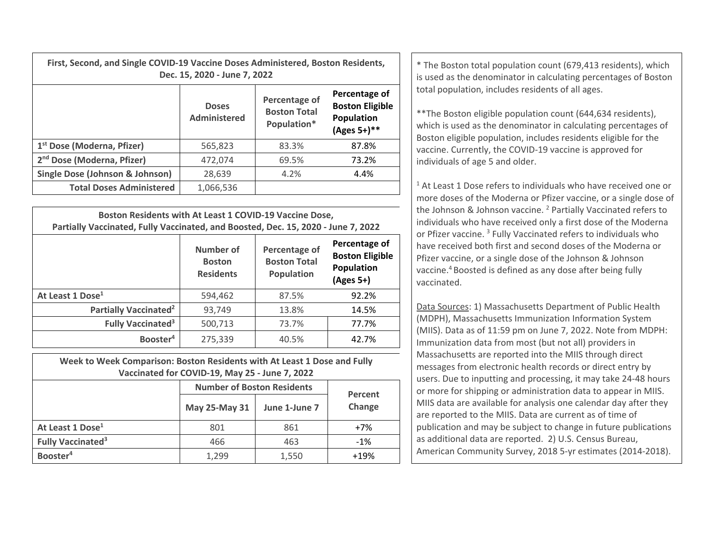| First, Second, and Single COVID-19 Vaccine Doses Administered, Boston Residents,<br>Dec. 15, 2020 - June 7, 2022 |                              |                                                     |                                                                      |  |  |
|------------------------------------------------------------------------------------------------------------------|------------------------------|-----------------------------------------------------|----------------------------------------------------------------------|--|--|
|                                                                                                                  | <b>Doses</b><br>Administered | Percentage of<br><b>Boston Total</b><br>Population* | Percentage of<br><b>Boston Eligible</b><br>Population<br>(Ages 5+)** |  |  |
| 1 <sup>st</sup> Dose (Moderna, Pfizer)                                                                           | 565,823                      | 83.3%                                               | 87.8%                                                                |  |  |
| 2 <sup>nd</sup> Dose (Moderna, Pfizer)                                                                           | 472,074                      | 69.5%                                               | 73.2%                                                                |  |  |
| Single Dose (Johnson & Johnson)                                                                                  | 28,639                       | 4.2%                                                | 4.4%                                                                 |  |  |
| <b>Total Doses Administered</b>                                                                                  | 1,066,536                    |                                                     |                                                                      |  |  |

| Boston Residents with At Least 1 COVID-19 Vaccine Dose,<br>Partially Vaccinated, Fully Vaccinated, and Boosted, Dec. 15, 2020 - June 7, 2022 |                                                |                                                                                                                                 |       |  |  |
|----------------------------------------------------------------------------------------------------------------------------------------------|------------------------------------------------|---------------------------------------------------------------------------------------------------------------------------------|-------|--|--|
|                                                                                                                                              | Number of<br><b>Boston</b><br><b>Residents</b> | Percentage of<br>Percentage of<br><b>Boston Eligible</b><br><b>Boston Total</b><br>Population<br><b>Population</b><br>(Ages 5+) |       |  |  |
| At Least 1 Dose <sup>1</sup>                                                                                                                 | 594,462                                        | 87.5%                                                                                                                           | 92.2% |  |  |
| Partially Vaccinated <sup>2</sup>                                                                                                            | 93,749                                         | 13.8%                                                                                                                           | 14.5% |  |  |
| <b>Fully Vaccinated<sup>3</sup></b>                                                                                                          | 500,713                                        | 73.7%                                                                                                                           | 77.7% |  |  |
| Booster <sup>4</sup>                                                                                                                         | 275,339                                        | 40.5%                                                                                                                           | 42.7% |  |  |

**Week to Week Comparison: Boston Residents with At Least 1 Dose and Fully Vaccinated for COVID‐19, May 25 ‐ June 7, 2022**

|                                     | <b>Number of Boston Residents</b> | Percent       |        |  |
|-------------------------------------|-----------------------------------|---------------|--------|--|
|                                     | May 25-May 31                     | June 1-June 7 | Change |  |
| At Least 1 Dose <sup>1</sup>        | 801                               | 861           | $+7%$  |  |
| <b>Fully Vaccinated<sup>3</sup></b> | 466                               | 463           | $-1%$  |  |
| Booster <sup>4</sup>                | 1,299                             | 1,550         | $+19%$ |  |

**15, 2020 - June 7, 2022 Administered, Boston Residents,** The Boston total population count (679,413 residents), which is used as the denominator in calculating percentages of Boston in the Boston in the denominator in c total population, includes residents of all ages.

> \*\*The Boston eligible population count (644,634 residents), which is used as the denominator in calculating percentages of Boston eligible population, includes residents eligible for the vaccine. Currently, the COVID‐19 vaccine is approved for individuals of age 5 and older.

 $1$  At Least 1 Dose refers to individuals who have received one or more doses of the Moderna or Pfizer vaccine, or <sup>a</sup> single dose of the Johnson & Johnson vaccine. <sup>2</sup> Partially Vaccinated refers to individuals who have received only <sup>a</sup> first dose of the Moderna or Pfizer vaccine. <sup>3</sup> Fully Vaccinated refers to individuals who have received both first and second doses of the Moderna or Pfizer vaccine, or <sup>a</sup> single dose of the Johnson & Johnson vaccine.<sup>4</sup> Boosted is defined as any dose after being fully vaccinated.

Data Sources: 1) Massachusetts Department of Public Health (MDPH), Massachusetts Immunization Information System (MIIS). Data as of 11:59 pm on June 7, 2022. Note from MDPH: Immunization data from most (but not all) providers in Massachusetts are reported into the MIIS through direct messages from electronic health records or direct entry by users. Due to inputting and processing, it may take 24‐48 hours or more for shipping or administration data to appear in MIIS. MIIS data are available for analysis one calendar day after they are reported to the MIIS. Data are current as of time of publication and may be subject to change in future publications as additional data are reported. 2) U.S. Census Bureau, American Community Survey, 2018 5‐yr estimates (2014‐2018).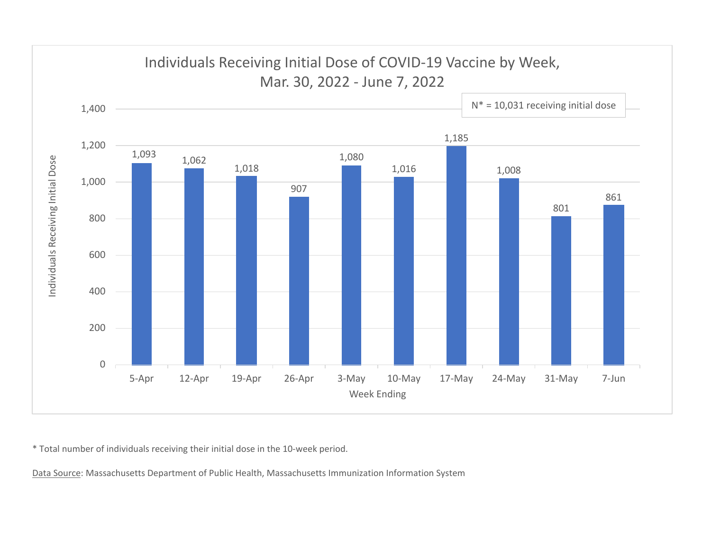

\* Total number of individuals receiving their initial dose in the 10‐week period.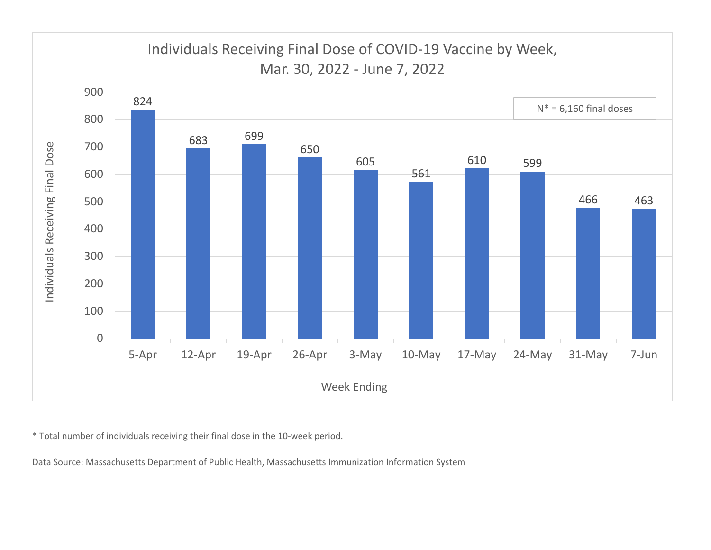

\* Total number of individuals receiving their final dose in the 10‐week period.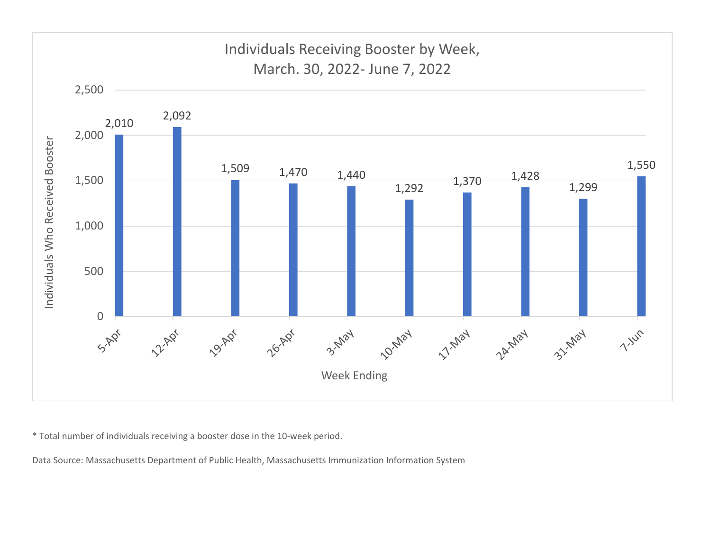

\* Total number of individuals receiving <sup>a</sup> booster dose in the 10‐week period.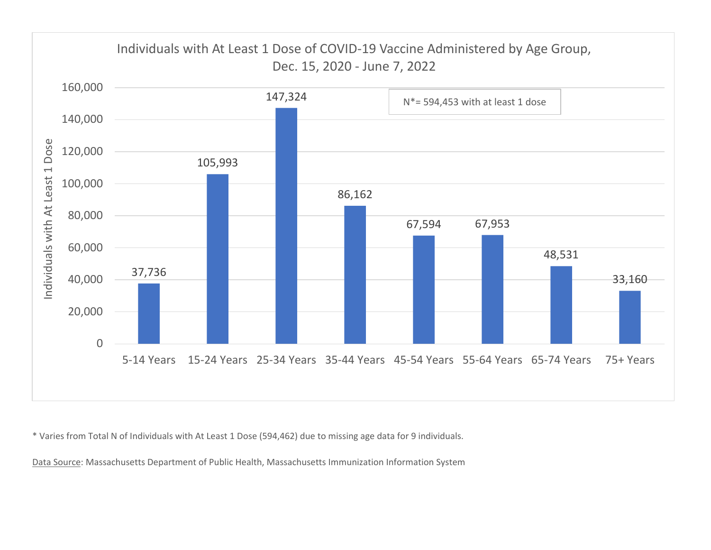

\* Varies from Total N of Individuals with At Least 1 Dose (594,462) due to missing age data for 9 individuals.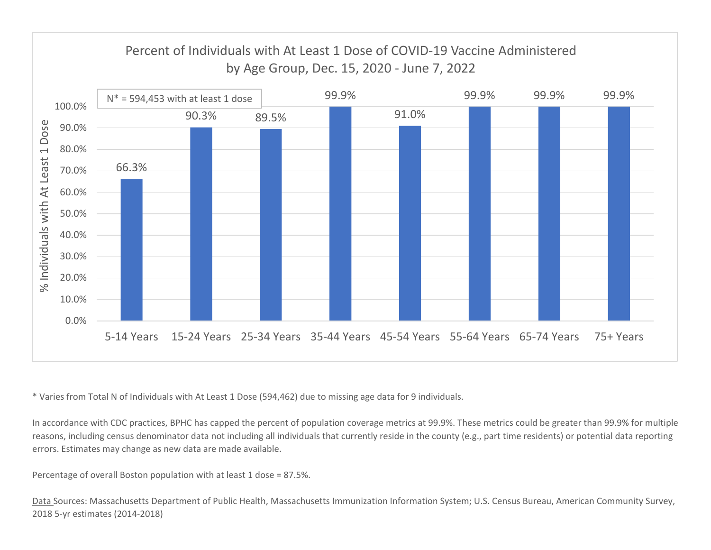

\* Varies from Total N of Individuals with At Least 1 Dose (594,462) due to missing age data for 9 individuals.

In accordance with CDC practices, BPHC has capped the percent of population coverage metrics at 99.9%. These metrics could be greater than 99.9% for multiple reasons, including census denominator data not including all individuals that currently reside in the county (e.g., part time residents) or potential data reporting errors. Estimates may change as new data are made available.

Percentage of overall Boston population with at least 1 dose <sup>=</sup> 87.5%.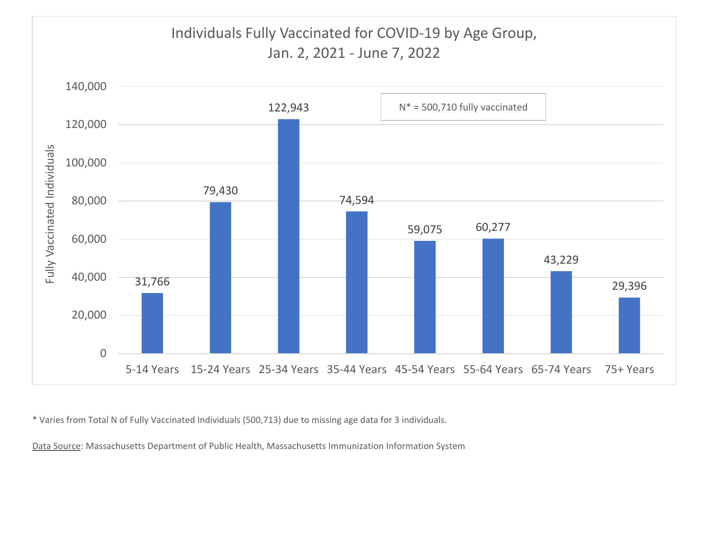

\* Varies from Total N of Fully Vaccinated Individuals (500,713) due to missing age data for 3 individuals.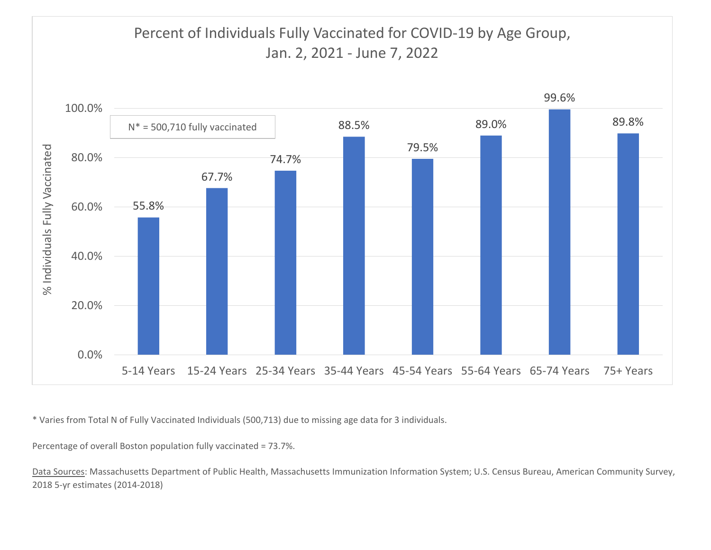

\* Varies from Total N of Fully Vaccinated Individuals (500,713) due to missing age data for 3 individuals.

Percentage of overall Boston population fully vaccinated <sup>=</sup> 73.7%.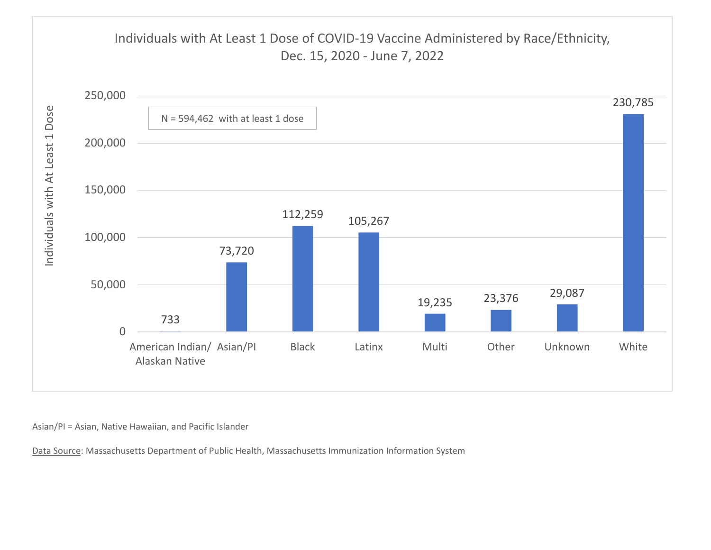

Asian/PI <sup>=</sup> Asian, Native Hawaiian, and Pacific Islander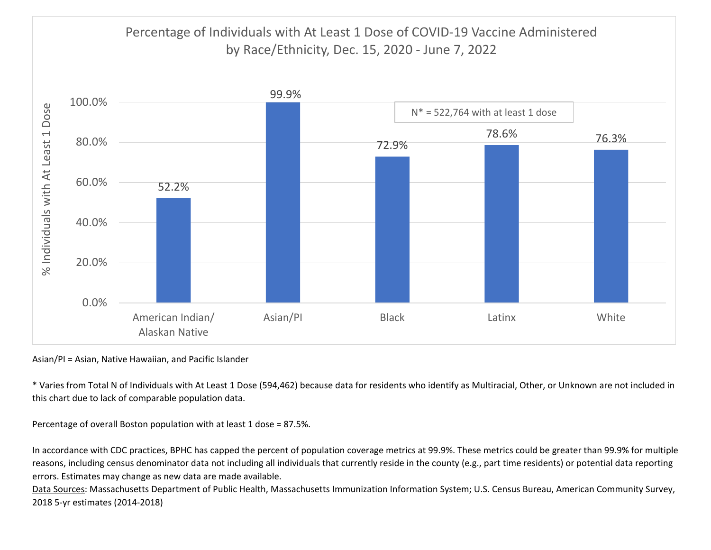

Asian/PI <sup>=</sup> Asian, Native Hawaiian, and Pacific Islander

\* Varies from Total N of Individuals with At Least 1 Dose (594,462) because data for residents who identify as Multiracial, Other, or Unknown are not included in this chart due to lack of comparable population data.

Percentage of overall Boston population with at least 1 dose <sup>=</sup> 87.5%.

In accordance with CDC practices, BPHC has capped the percent of population coverage metrics at 99.9%. These metrics could be greater than 99.9% for multiple reasons, including census denominator data not including all individuals that currently reside in the county (e.g., part time residents) or potential data reporting errors. Estimates may change as new data are made available.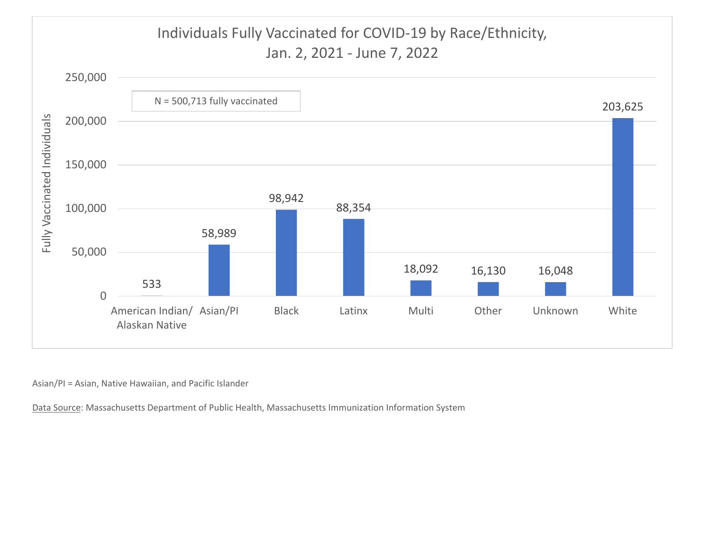# Individuals Fully Vaccinated for COVID‐19 by Race/Ethnicity, Jan. 2, 2021 ‐ June 7, 2022



Asian/PI <sup>=</sup> Asian, Native Hawaiian, and Pacific Islander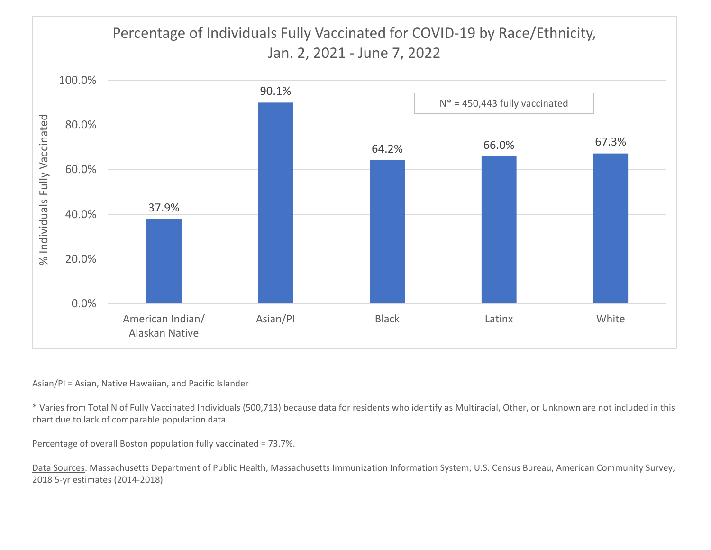# Percentage of Individuals Fully Vaccinated for COVID‐19 by Race/Ethnicity, Jan. 2, 2021 ‐ June 7, 2022



#### Asian/PI <sup>=</sup> Asian, Native Hawaiian, and Pacific Islander

\* Varies from Total N of Fully Vaccinated Individuals (500,713) because data for residents who identify as Multiracial, Other, or Unknown are not included in this chart due to lack of comparable population data.

Percentage of overall Boston population fully vaccinated <sup>=</sup> 73.7%.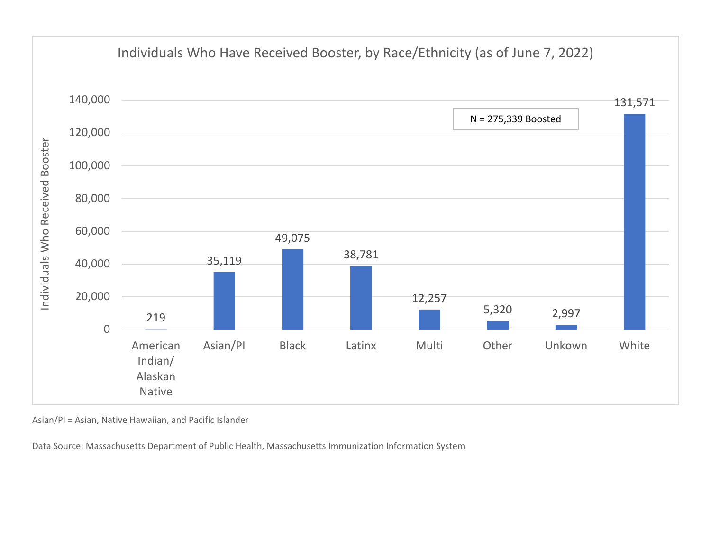

Asian/PI <sup>=</sup> Asian, Native Hawaiian, and Pacific Islander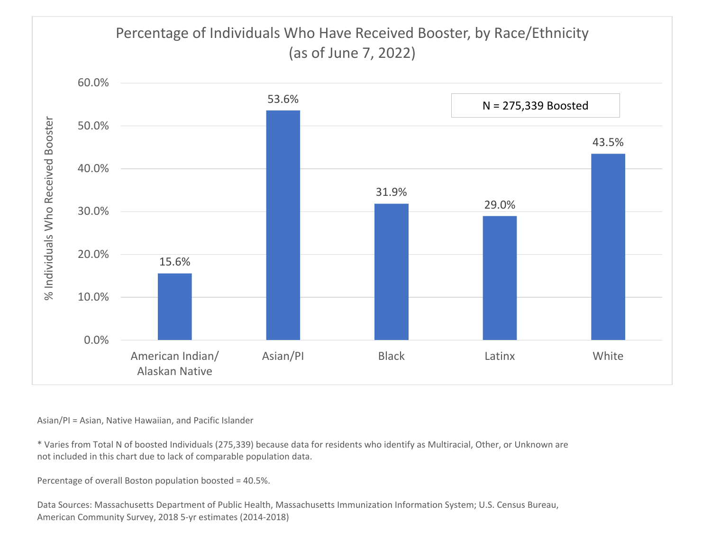# Percentage of Individuals Who Have Received Booster, by Race/Ethnicity (as of June 7, 2022)



Asian/PI <sup>=</sup> Asian, Native Hawaiian, and Pacific Islander

\* Varies from Total N of boosted Individuals (275,339) because data for residents who identify as Multiracial, Other, or Unknown are not included in this chart due to lack of comparable population data.

Percentage of overall Boston population boosted <sup>=</sup> 40.5%.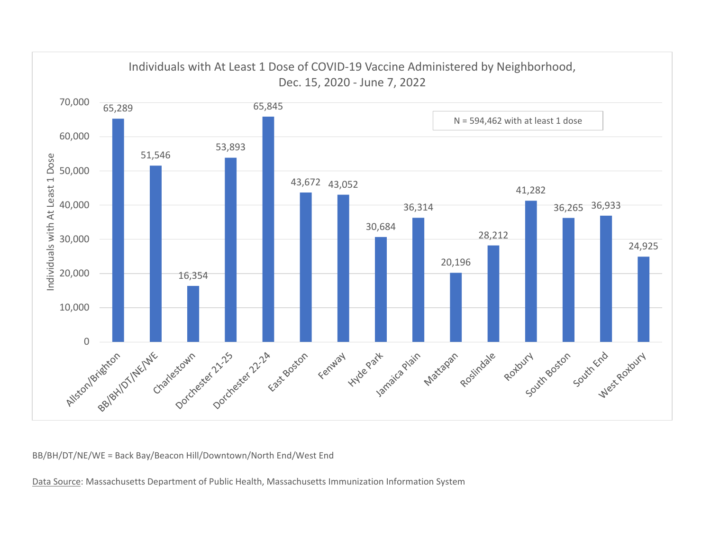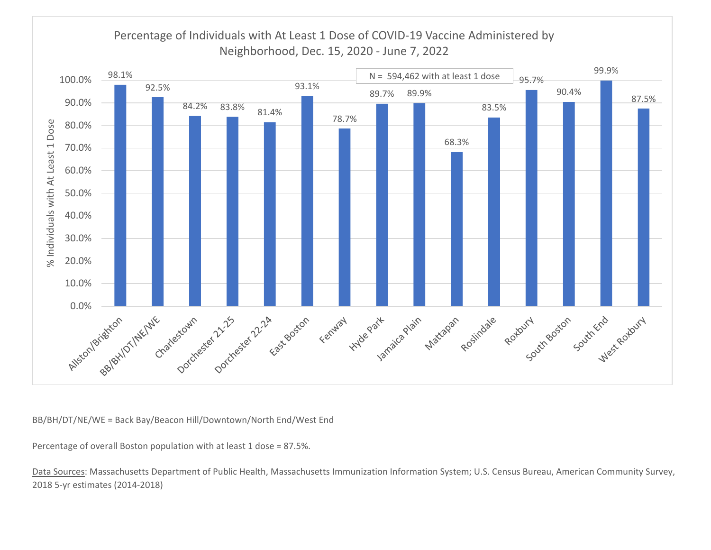

Percentage of overall Boston population with at least 1 dose <sup>=</sup> 87.5%.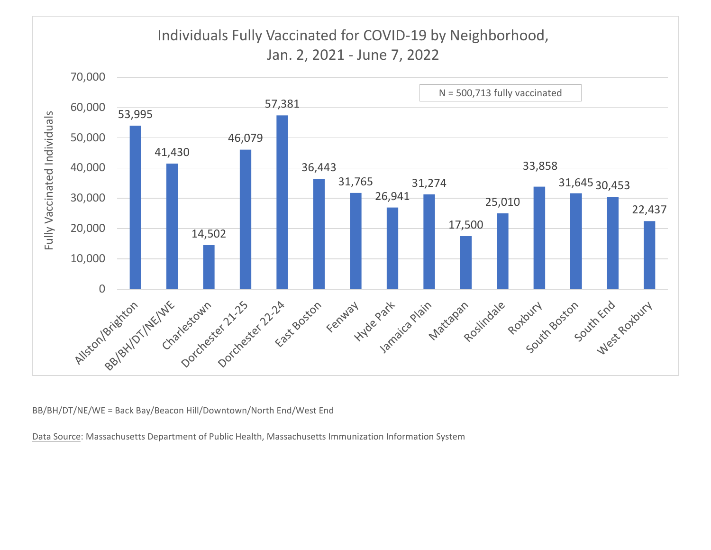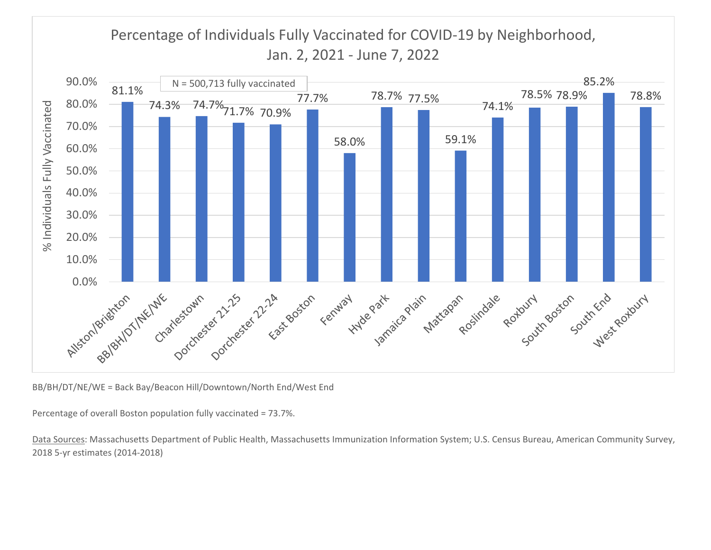### Percentage of Individuals Fully Vaccinated for COVID‐19 by Neighborhood, Jan. 2, 2021 ‐ June 7, 2022



BB/BH/DT/NE/WE <sup>=</sup> Back Bay/Beacon Hill/Downtown/North End/West End

Percentage of overall Boston population fully vaccinated <sup>=</sup> 73.7%.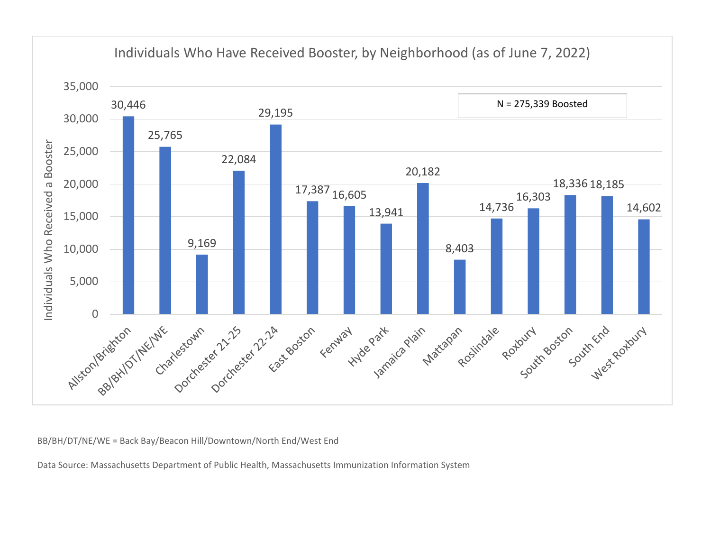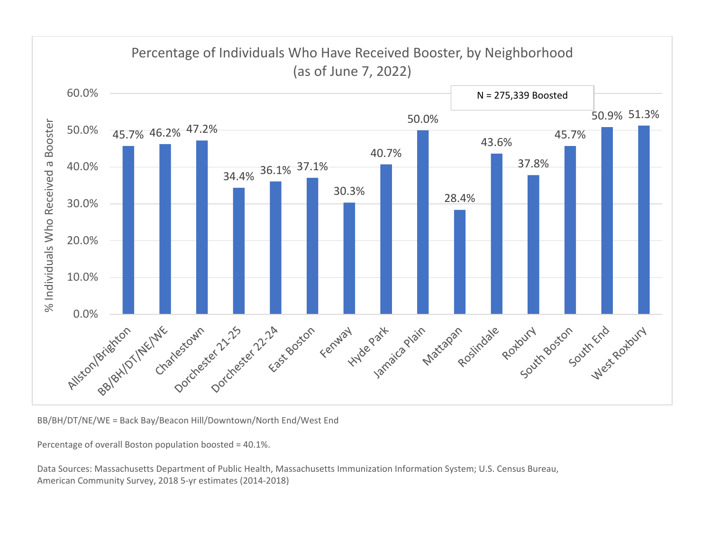

BB/BH/DT/NE/WE <sup>=</sup> Back Bay/Beacon Hill/Downtown/North End/West End

Percentage of overall Boston population boosted <sup>=</sup> 40.1%.